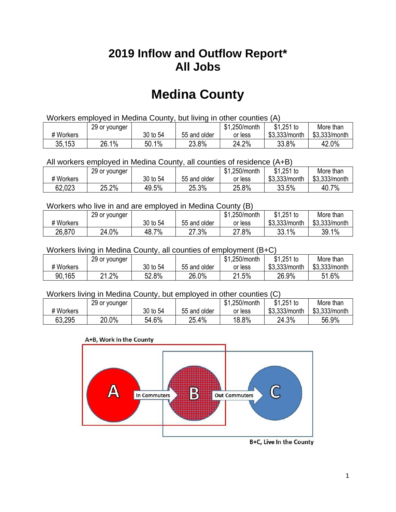## **2019 Inflow and Outflow Report\* All Jobs**

# **Medina County**

| Workers employed in Medina County, but living in other counties (A) |                                                           |          |              |         |               |               |  |  |  |
|---------------------------------------------------------------------|-----------------------------------------------------------|----------|--------------|---------|---------------|---------------|--|--|--|
|                                                                     | \$1.251 to<br>\$1.250/month<br>More than<br>29 or younger |          |              |         |               |               |  |  |  |
| # Workers                                                           |                                                           | 30 to 54 | 55 and older | or less | \$3.333/month | \$3,333/month |  |  |  |
| 35,153                                                              | 26.1%                                                     | 50.1%    | 23.8%        | 24.2%   | 33.8%         | 42.0%         |  |  |  |

All workers employed in Medina County, all counties of residence (A+B)

|           | 29 or younger |          |              | \$1,250/month | $$1,251$ to   | More than     |
|-----------|---------------|----------|--------------|---------------|---------------|---------------|
| # Workers |               | 30 to 54 | 55 and older | or less       | \$3,333/month | \$3,333/month |
| 62,023    | 25.2%         | 49.5%    | 25.3%        | 25.8%         | 33.5%         | 40.7%         |

#### Workers who live in and are employed in Medina County (B)

|           | 29 or younger |          |              | \$1,250/month | $$1,251$ to   | More than     |
|-----------|---------------|----------|--------------|---------------|---------------|---------------|
| # Workers |               | 30 to 54 | 55 and older | or less       | \$3,333/month | \$3,333/month |
| 26,870    | 24.0%         | 48.7%    | 27.3%        | 27.8%         | 33.1%         | 39.1%         |

#### Workers living in Medina County, all counties of employment (B+C)

|           | 29 or younger  |          |              | \$1,250/month | \$1,251 to    | More than     |
|-----------|----------------|----------|--------------|---------------|---------------|---------------|
| # Workers |                | 30 to 54 | 55 and older | or less       | \$3,333/month | \$3,333/month |
| 90,165    | $.2\%$<br>ິດ 4 | 52.8%    | 26.0%        | 21.5%         | 26.9%         | 51.6%         |

#### Workers living in Medina County, but employed in other counties (C)

|           | 29 or younger |          |              | \$1,250/month | $$1,251$ to   | More than     |
|-----------|---------------|----------|--------------|---------------|---------------|---------------|
| # Workers |               | 30 to 54 | 55 and older | or less       | \$3,333/month | \$3,333/month |
| 63,295    | 20.0%         | 54.6%    | 25.4%        | 18.8%         | 24.3%         | 56.9%         |

#### A+B, Work In the County